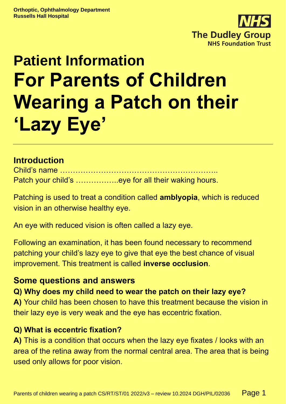

# **Patient Information For Parents of Children Wearing a Patch on their 'Lazy Eye'**

# **Introduction**

Child's name ……………………………………………………..

Patch your child's ……………..eye for all their waking hours.

Patching is used to treat a condition called **amblyopia**, which is reduced vision in an otherwise healthy eye.

An eye with reduced vision is often called a lazy eye.

Following an examination, it has been found necessary to recommend patching your child's lazy eye to give that eye the best chance of visual improvement. This treatment is called **inverse occlusion**.

### **Some questions and answers**

### **Q) Why does my child need to wear the patch on their lazy eye?**

**A)** Your child has been chosen to have this treatment because the vision in their lazy eye is very weak and the eye has eccentric fixation.

#### **Q) What is eccentric fixation?**

**A)** This is a condition that occurs when the lazy eye fixates / looks with an area of the retina away from the normal central area. The area that is being used only allows for poor vision.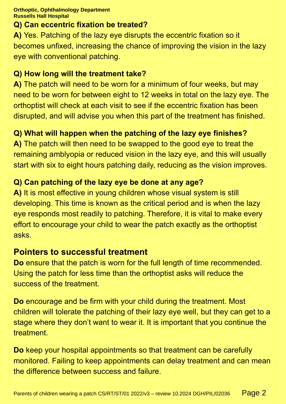**Orthoptic, Ophthalmology Department Russells Hall Hospital**

#### **Q) Can eccentric fixation be treated?**

**A)** Yes. Patching of the lazy eye disrupts the eccentric fixation so it becomes unfixed, increasing the chance of improving the vision in the lazy eye with conventional patching.

#### **Q) How long will the treatment take?**

**A)** The patch will need to be worn for a minimum of four weeks, but may need to be worn for between eight to 12 weeks in total on the lazy eye. The orthoptist will check at each visit to see if the eccentric fixation has been disrupted, and will advise you when this part of the treatment has finished.

### **Q) What will happen when the patching of the lazy eye finishes?**

**A)** The patch will then need to be swapped to the good eye to treat the remaining amblyopia or reduced vision in the lazy eye, and this will usually start with six to eight hours patching daily, reducing as the vision improves.

#### **Q) Can patching of the lazy eye be done at any age?**

**A)** It is most effective in young children whose visual system is still developing. This time is known as the critical period and is when the lazy eye responds most readily to patching. Therefore, it is vital to make every effort to encourage your child to wear the patch exactly as the orthoptist asks.

### **Pointers to successful treatment**

**Do** ensure that the patch is worn for the full length of time recommended. Using the patch for less time than the orthoptist asks will reduce the success of the treatment.

**Do** encourage and be firm with your child during the treatment. Most children will tolerate the patching of their lazy eye well, but they can get to a stage where they don't want to wear it. It is important that you continue the treatment.

**Do** keep your hospital appointments so that treatment can be carefully monitored. Failing to keep appointments can delay treatment and can mean the difference between success and failure.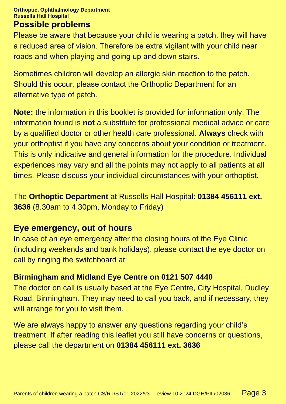#### **Orthoptic, Ophthalmology Department Russells Hall Hospital**

#### **Possible problems**

Please be aware that because your child is wearing a patch, they will have a reduced area of vision. Therefore be extra vigilant with your child near roads and when playing and going up and down stairs.

Sometimes children will develop an allergic skin reaction to the patch. Should this occur, please contact the Orthoptic Department for an alternative type of patch.

**Note:** the information in this booklet is provided for information only. The information found is **not** a substitute for professional medical advice or care by a qualified doctor or other health care professional. **Always** check with your orthoptist if you have any concerns about your condition or treatment. This is only indicative and general information for the procedure. Individual experiences may vary and all the points may not apply to all patients at all times. Please discuss your individual circumstances with your orthoptist.

The **Orthoptic Department** at Russells Hall Hospital: **01384 456111 ext. 3636** (8.30am to 4.30pm, Monday to Friday)

### **Eye emergency, out of hours**

In case of an eye emergency after the closing hours of the Eye Clinic (including weekends and bank holidays), please contact the eye doctor on call by ringing the switchboard at:

#### **Birmingham and Midland Eye Centre on 0121 507 4440**

The doctor on call is usually based at the Eye Centre, City Hospital, Dudley Road, Birmingham. They may need to call you back, and if necessary, they will arrange for you to visit them.

We are always happy to answer any questions regarding your child's treatment. If after reading this leaflet you still have concerns or questions, please call the department on **01384 456111 ext. 3636**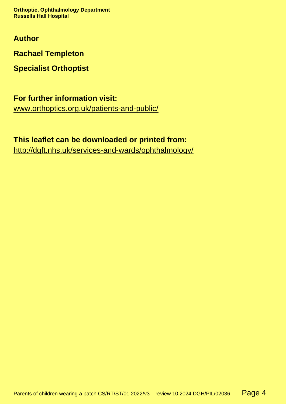**Orthoptic, Ophthalmology Department Russells Hall Hospital**

**Author**

**Rachael Templeton**

**Specialist Orthoptist**

**For further information visit:** [www.orthoptics.org.uk/patients-and-public/](https://www.orthoptics.org.uk/patients-and-public/)

## **This leaflet can be downloaded or printed from:**

<http://dgft.nhs.uk/services-and-wards/ophthalmology/>